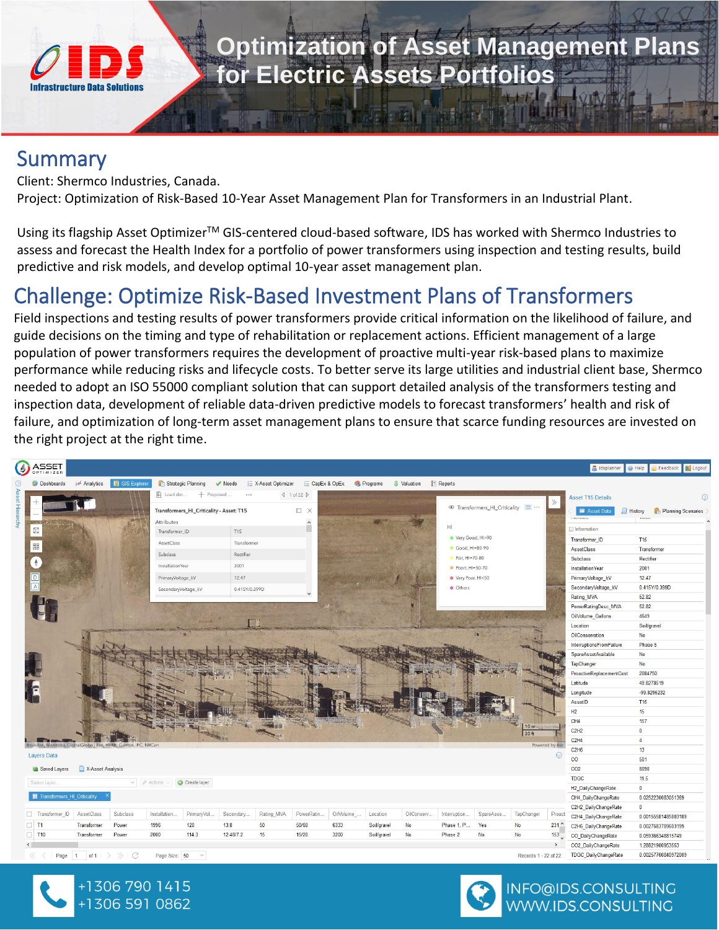

# **Optimization of Asset Management Plans for Electric Assets Portfolios**

#### Summary

Client: Shermco Industries, Canada.

Project: Optimization of Risk-Based 10-Year Asset Management Plan for Transformers in an Industrial Plant.

Using its flagship Asset Optimizer<sup>™</sup> GIS-centered cloud-based software, IDS has worked with Shermco Industries to assess and forecast the Health Index for a portfolio of power transformers using inspection and testing results, build predictive and risk models, and develop optimal 10-year asset management plan.

### Challenge: Optimize Risk-Based Investment Plans of Transformers

Field inspections and testing results of power transformers provide critical information on the likelihood of failure, and guide decisions on the timing and type of rehabilitation or replacement actions. Efficient management of a large population of power transformers requires the development of proactive multi-year risk-based plans to maximize performance while reducing risks and lifecycle costs. To better serve its large utilities and industrial client base, Shermco needed to adopt an ISO 55000 compliant solution that can support detailed analysis of the transformers testing and inspection data, development of reliable data-driven predictive models to forecast transformers' health and risk of failure, and optimization of long-term asset management plans to ensure that scarce funding resources are invested on the right project at the right time.